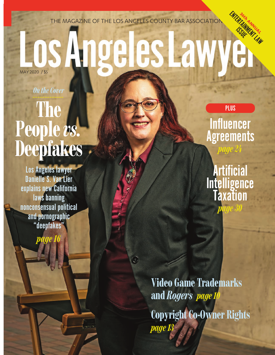THE MAGAZINE OF THE LOS ANGELES COUNTY BAR ASSOCIATION

### ENTERTAINMUSLE <sup>3</sup>6th ANNUAL<br>AMM<sup>ANNU</sup>AL ISSUE**ngeles Law** MAY 2020 / \$5

 $\odot$ 

*On the Cover*

# **The People** *vs.* **Deepfakes**

Los Angeles lawyer Danielle S. Van Lier explains new California laws banning nonconsensual political and pornographic "deepfakes"

*page 16*

**Influencer Agreements** 

*page 24*

PLUS

**Artificial Intelligence** Taxation *page 30*

**Video Game Trademarks and** *Rogers page 10* **Copyright Co-Owner Rights**  *page 13*